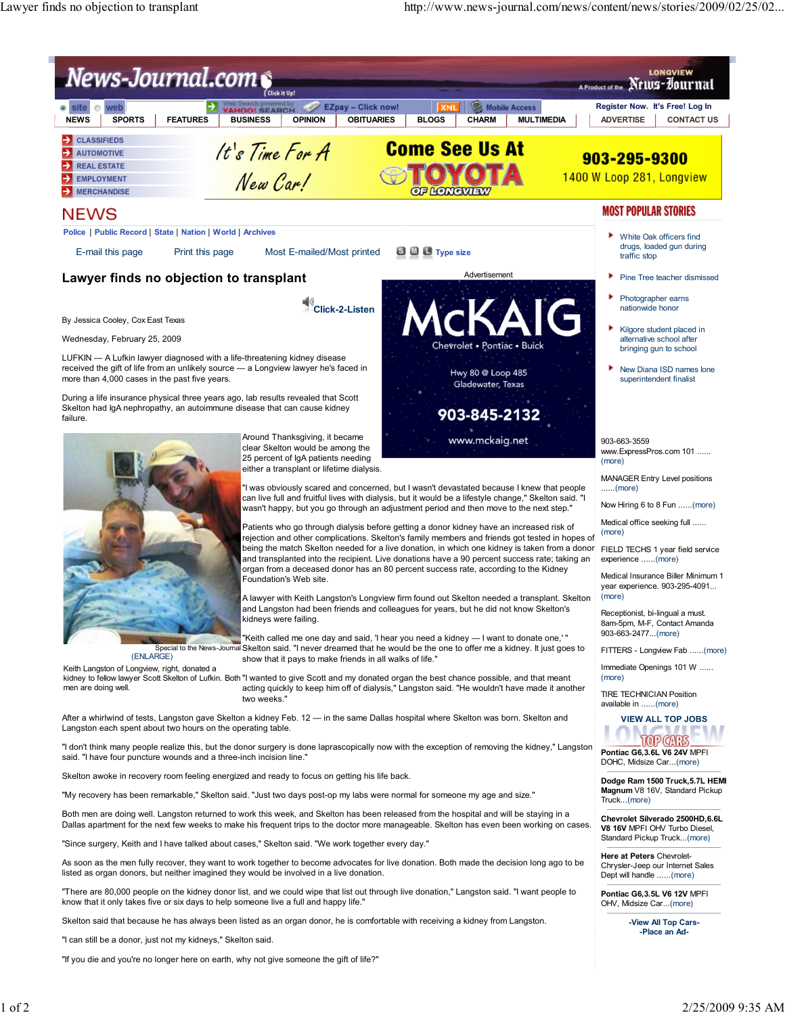